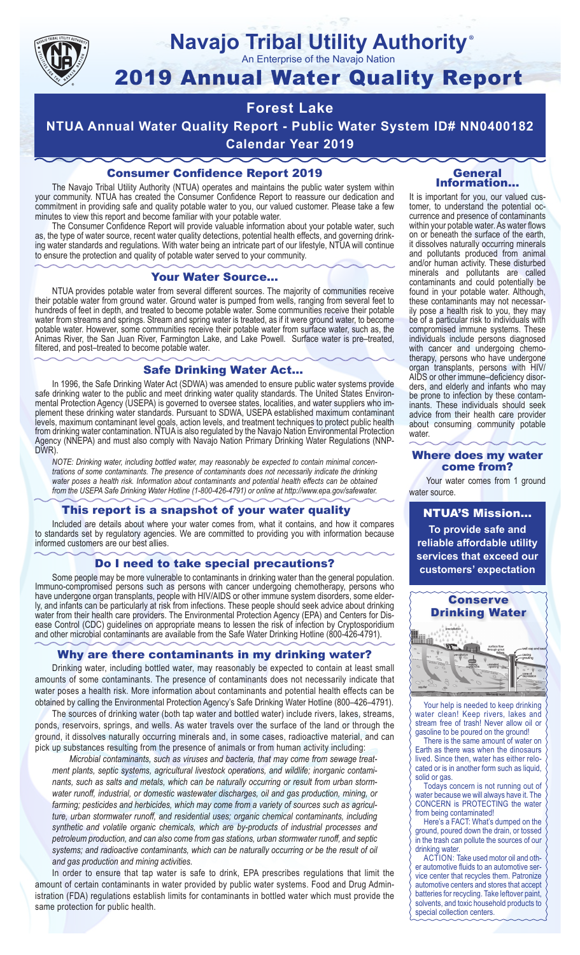

# **Navajo Tribal Utility Authority** ®

An Enterprise of the Navajo Nation

# 2019 Annual Water Quality Report

# **Forest Lake**

**NTUA Annual Water Quality Report - Public Water System ID# NN0400182 Calendar Year 2019**

# Consumer Confidence Report 2019

The Navajo Tribal Utility Authority (NTUA) operates and maintains the public water system within your community. NTUA has created the Consumer Confidence Report to reassure our dedication and commitment in providing safe and quality potable water to you, our valued customer. Please take a few minutes to view this report and become familiar with your potable water.

The Consumer Confidence Report will provide valuable information about your potable water, such as, the type of water source, recent water quality detections, potential health effects, and governing drinking water standards and regulations. With water being an intricate part of our lifestyle, NTUA will continue to ensure the protection and quality of potable water served to your community.

#### Your Water Source…

NTUA provides potable water from several different sources. The majority of communities receive their potable water from ground water. Ground water is pumped from wells, ranging from several feet to hundreds of feet in depth, and treated to become potable water. Some communities receive their potable water from streams and springs. Stream and spring water is treated, as if it were ground water, to become potable water. However, some communities receive their potable water from surface water, such as, the Animas River, the San Juan River, Farmington Lake, and Lake Powell. Surface water is pre–treated, filtered, and post–treated to become potable water.

#### Safe Drinking Water Act…

In 1996, the Safe Drinking Water Act (SDWA) was amended to ensure public water systems provide safe drinking water to the public and meet drinking water quality standards. The United States Environmental Protection Agency (USEPA) is governed to oversee states, localities, and water suppliers who implement these drinking water standards. Pursuant to SDWA, USEPA established maximum contaminant levels, maximum contaminant level goals, action levels, and treatment techniques to protect public health from drinking water contamination. NTUA is also regulated by the Navajo Nation Environmental Protection Agency (NNEPA) and must also comply with Navajo Nation Primary Drinking Water Regulations (NNP-DWR)

*NOTE: Drinking water, including bottled water, may reasonably be expected to contain minimal concentrations of some contaminants. The presence of contaminants does not necessarily indicate the drinking water poses a health risk. Information about contaminants and potential health effects can be obtained from the USEPA Safe Drinking Water Hotline (1-800-426-4791) or online at http://www.epa.gov/safewater.*

## This report is a snapshot of your water quality

Included are details about where your water comes from, what it contains, and how it compares to standards set by regulatory agencies. We are committed to providing you with information because informed customers are our best allies.

### Do I need to take special precautions?

Some people may be more vulnerable to contaminants in drinking water than the general population. Immuno-compromised persons such as persons with cancer undergoing chemotherapy, persons who have undergone organ transplants, people with HIV/AIDS or other immune system disorders, some elderly, and infants can be particularly at risk from infections. These people should seek advice about drinking water from their health care providers. The Environmental Protection Agency (EPA) and Centers for Disease Control (CDC) guidelines on appropriate means to lessen the risk of infection by Cryptosporidium and other microbial contaminants are available from the Safe Water Drinking Hotline (800-426-4791).

## Why are there contaminants in my drinking water?

Drinking water, including bottled water, may reasonably be expected to contain at least small amounts of some contaminants. The presence of contaminants does not necessarily indicate that water poses a health risk. More information about contaminants and potential health effects can be obtained by calling the Environmental Protection Agency's Safe Drinking Water Hotline (800–426–4791).

The sources of drinking water (both tap water and bottled water) include rivers, lakes, streams, ponds, reservoirs, springs, and wells. As water travels over the surface of the land or through the ground, it dissolves naturally occurring minerals and, in some cases, radioactive material, and can pick up substances resulting from the presence of animals or from human activity including:

*Microbial contaminants, such as viruses and bacteria, that may come from sewage treatment plants, septic systems, agricultural livestock operations, and wildlife; inorganic contaminants, such as salts and metals, which can be naturally occurring or result from urban stormwater runoff, industrial, or domestic wastewater discharges, oil and gas production, mining, or farming; pesticides and herbicides, which may come from a variety of sources such as agriculture, urban stormwater runoff, and residential uses; organic chemical contaminants, including synthetic and volatile organic chemicals, which are by-products of industrial processes and petroleum production, and can also come from gas stations, urban stormwater runoff, and septic systems; and radioactive contaminants, which can be naturally occurring or be the result of oil and gas production and mining activities.*

In order to ensure that tap water is safe to drink, EPA prescribes regulations that limit the amount of certain contaminants in water provided by public water systems. Food and Drug Administration (FDA) regulations establish limits for contaminants in bottled water which must provide the same protection for public health.

#### General Information…

It is important for you, our valued customer, to understand the potential occurrence and presence of contaminants within your potable water. As water flows on or beneath the surface of the earth, it dissolves naturally occurring minerals and pollutants produced from animal and/or human activity. These disturbed minerals and pollutants are called contaminants and could potentially be found in your potable water. Although, these contaminants may not necessarily pose a health risk to you, they may be of a particular risk to individuals with compromised immune systems. These individuals include persons diagnosed with cancer and undergoing chemo-<br>therapy, persons who have undergone organ transplants, persons with HIV/ AIDS or other immune–deficiency disor- ders, and elderly and infants who may be prone to infection by these contam- inants. These individuals should seek advice from their health care provider about consuming community potable water.

#### Where does my water come from?

Your water comes from 1 ground water source.

NTUA'S Mission... **To provide safe and reliable affordable utility services that exceed our customers' expectation**



Your help is needed to keep drinking water clean! Keep rivers, lakes and stream free of trash! Never allow oil or gasoline to be poured on the ground!

There is the same amount of water on Earth as there was when the dinosaurs lived. Since then, water has either relocated or is in another form such as liquid, solid or gas.

Todays concern is not running out of water because we will always have it. The CONCERN is PROTECTING the water from being contaminated!

Here's a FACT: What's dumped on the ground, poured down the drain, or tossed in the trash can pollute the sources of our drinking water.

ACTION: Take used motor oil and other automotive fluids to an automotive service center that recycles them. Patronize automotive centers and stores that accept batteries for recycling. Take leftover paint, solvents, and toxic household products to special collection centers.